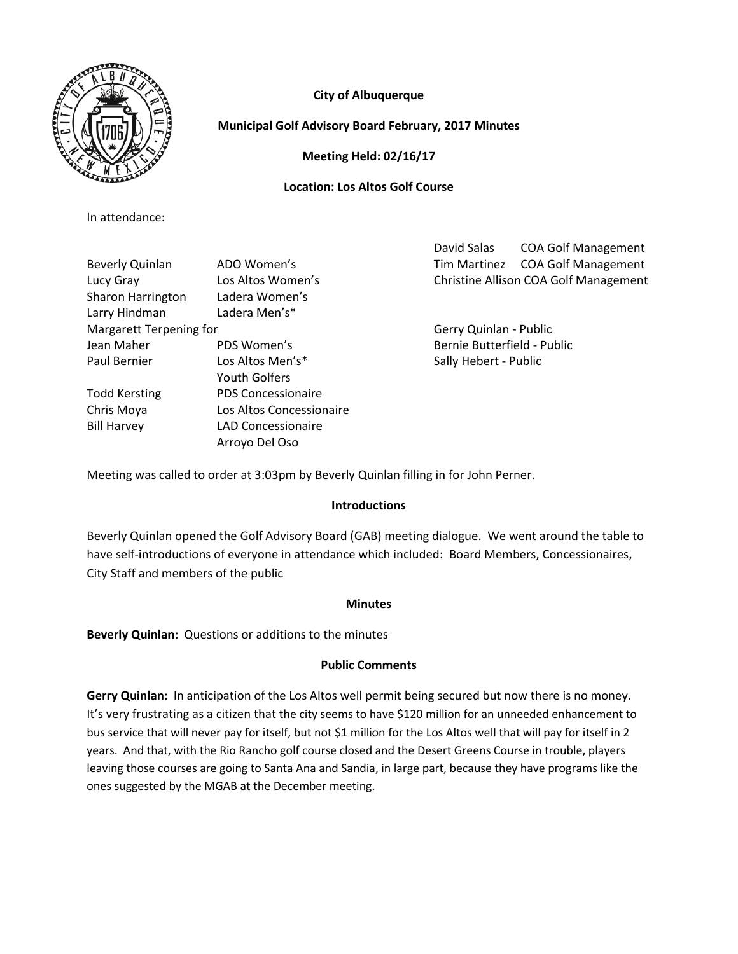

# **City of Albuquerque**

## **Municipal Golf Advisory Board February, 2017 Minutes**

**Meeting Held: 02/16/17**

## **Location: Los Altos Golf Course**

In attendance:

|                                |                           | David Salas                 | <b>COA Golf Management</b>            |  |  |  |  |  |
|--------------------------------|---------------------------|-----------------------------|---------------------------------------|--|--|--|--|--|
| Beverly Quinlan                | ADO Women's               | Tim Martinez                | <b>COA Golf Management</b>            |  |  |  |  |  |
| Lucy Gray                      | Los Altos Women's         |                             | Christine Allison COA Golf Management |  |  |  |  |  |
| Sharon Harrington              | Ladera Women's            |                             |                                       |  |  |  |  |  |
| Larry Hindman                  | Ladera Men's*             |                             |                                       |  |  |  |  |  |
| <b>Margarett Terpening for</b> |                           | Gerry Quinlan - Public      |                                       |  |  |  |  |  |
| Jean Maher                     | PDS Women's               | Bernie Butterfield - Public |                                       |  |  |  |  |  |
| Paul Bernier                   | Los Altos Men's*          |                             | Sally Hebert - Public                 |  |  |  |  |  |
|                                | <b>Youth Golfers</b>      |                             |                                       |  |  |  |  |  |
| <b>Todd Kersting</b>           | <b>PDS Concessionaire</b> |                             |                                       |  |  |  |  |  |
| Chris Moya                     | Los Altos Concessionaire  |                             |                                       |  |  |  |  |  |
| <b>Bill Harvey</b>             | LAD Concessionaire        |                             |                                       |  |  |  |  |  |
|                                | Arroyo Del Oso            |                             |                                       |  |  |  |  |  |

Meeting was called to order at 3:03pm by Beverly Quinlan filling in for John Perner.

## **Introductions**

Beverly Quinlan opened the Golf Advisory Board (GAB) meeting dialogue. We went around the table to have self-introductions of everyone in attendance which included: Board Members, Concessionaires, City Staff and members of the public

## **Minutes**

**Beverly Quinlan:** Questions or additions to the minutes

## **Public Comments**

**Gerry Quinlan:** In anticipation of the Los Altos well permit being secured but now there is no money. It's very frustrating as a citizen that the city seems to have \$120 million for an unneeded enhancement to bus service that will never pay for itself, but not \$1 million for the Los Altos well that will pay for itself in 2 years. And that, with the Rio Rancho golf course closed and the Desert Greens Course in trouble, players leaving those courses are going to Santa Ana and Sandia, in large part, because they have programs like the ones suggested by the MGAB at the December meeting.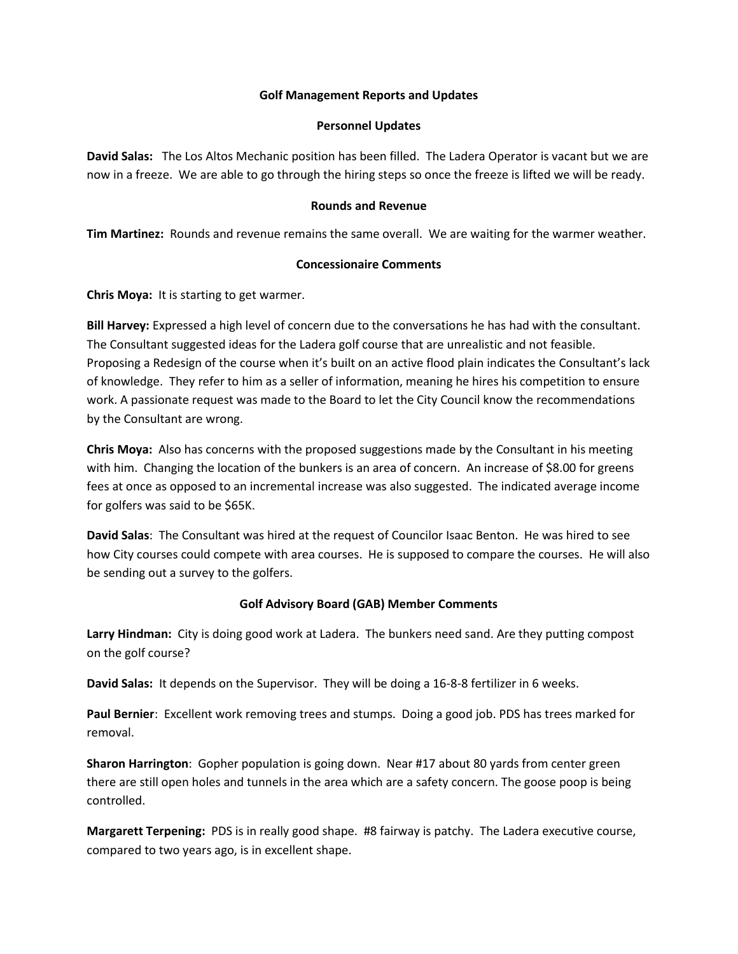### **Golf Management Reports and Updates**

### **Personnel Updates**

**David Salas:** The Los Altos Mechanic position has been filled. The Ladera Operator is vacant but we are now in a freeze. We are able to go through the hiring steps so once the freeze is lifted we will be ready.

### **Rounds and Revenue**

**Tim Martinez:** Rounds and revenue remains the same overall. We are waiting for the warmer weather.

### **Concessionaire Comments**

**Chris Moya:** It is starting to get warmer.

**Bill Harvey:** Expressed a high level of concern due to the conversations he has had with the consultant. The Consultant suggested ideas for the Ladera golf course that are unrealistic and not feasible. Proposing a Redesign of the course when it's built on an active flood plain indicates the Consultant's lack of knowledge. They refer to him as a seller of information, meaning he hires his competition to ensure work. A passionate request was made to the Board to let the City Council know the recommendations by the Consultant are wrong.

**Chris Moya:** Also has concerns with the proposed suggestions made by the Consultant in his meeting with him. Changing the location of the bunkers is an area of concern. An increase of \$8.00 for greens fees at once as opposed to an incremental increase was also suggested. The indicated average income for golfers was said to be \$65K.

**David Salas**: The Consultant was hired at the request of Councilor Isaac Benton. He was hired to see how City courses could compete with area courses. He is supposed to compare the courses. He will also be sending out a survey to the golfers.

## **Golf Advisory Board (GAB) Member Comments**

**Larry Hindman:** City is doing good work at Ladera. The bunkers need sand. Are they putting compost on the golf course?

**David Salas:** It depends on the Supervisor. They will be doing a 16-8-8 fertilizer in 6 weeks.

**Paul Bernier**: Excellent work removing trees and stumps. Doing a good job. PDS has trees marked for removal.

**Sharon Harrington**: Gopher population is going down. Near #17 about 80 yards from center green there are still open holes and tunnels in the area which are a safety concern. The goose poop is being controlled.

**Margarett Terpening:** PDS is in really good shape. #8 fairway is patchy. The Ladera executive course, compared to two years ago, is in excellent shape.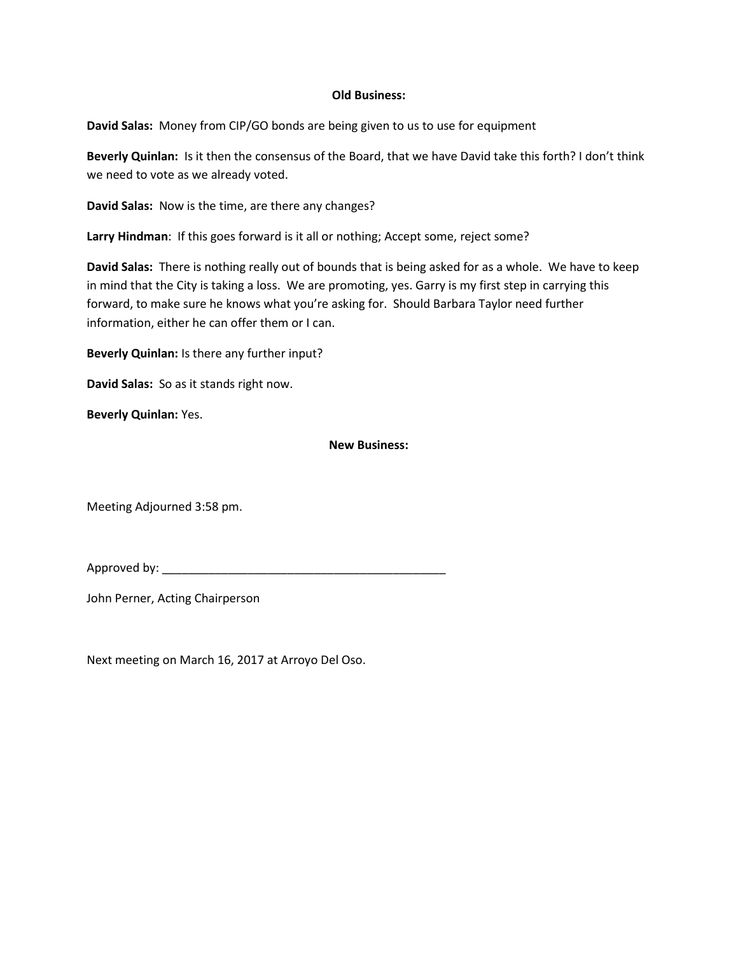#### **Old Business:**

**David Salas:** Money from CIP/GO bonds are being given to us to use for equipment

**Beverly Quinlan:** Is it then the consensus of the Board, that we have David take this forth? I don't think we need to vote as we already voted.

**David Salas:** Now is the time, are there any changes?

**Larry Hindman**: If this goes forward is it all or nothing; Accept some, reject some?

**David Salas:** There is nothing really out of bounds that is being asked for as a whole. We have to keep in mind that the City is taking a loss. We are promoting, yes. Garry is my first step in carrying this forward, to make sure he knows what you're asking for. Should Barbara Taylor need further information, either he can offer them or I can.

**Beverly Quinlan:** Is there any further input?

**David Salas:** So as it stands right now.

**Beverly Quinlan:** Yes.

#### **New Business:**

Meeting Adjourned 3:58 pm.

Approved by:

John Perner, Acting Chairperson

Next meeting on March 16, 2017 at Arroyo Del Oso.